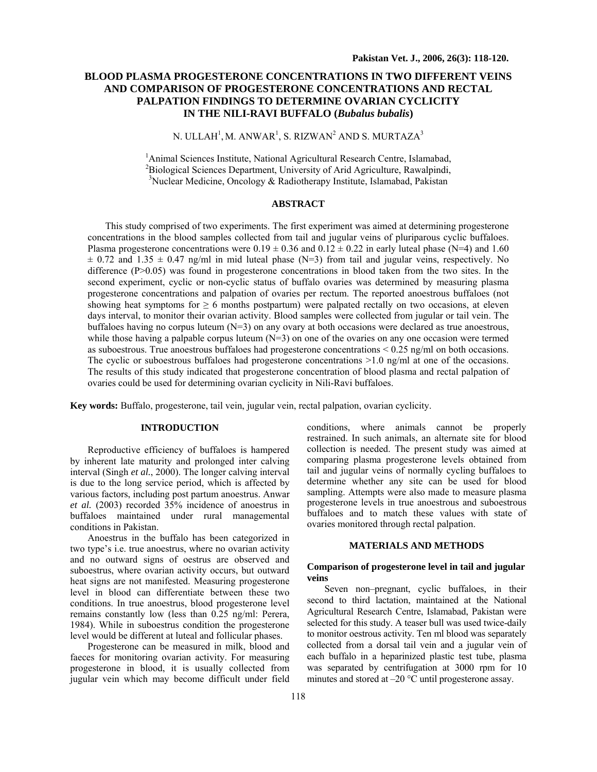# **BLOOD PLASMA PROGESTERONE CONCENTRATIONS IN TWO DIFFERENT VEINS AND COMPARISON OF PROGESTERONE CONCENTRATIONS AND RECTAL PALPATION FINDINGS TO DETERMINE OVARIAN CYCLICITY IN THE NILI-RAVI BUFFALO (***Bubalus bubalis***)**

N. ULLAH $^1$ , M. ANWAR $^1$ , S. RIZWAN $^2$  AND S. MURTAZA $^3$ 

<sup>1</sup> Animal Sciences Institute, National Agricultural Research Centre, Islamabad, <sup>2</sup>Biological Sciences Department, University of Arid Agriculture, Rawalpindi, <sup>3</sup>Nuclear Medicine, Oncology & Radiotherapy Institute, Islamabad, Pakistan

## **ABSTRACT**

This study comprised of two experiments. The first experiment was aimed at determining progesterone concentrations in the blood samples collected from tail and jugular veins of pluriparous cyclic buffaloes. Plasma progesterone concentrations were  $0.19 \pm 0.36$  and  $0.12 \pm 0.22$  in early luteal phase (N=4) and 1.60  $\pm$  0.72 and 1.35  $\pm$  0.47 ng/ml in mid luteal phase (N=3) from tail and jugular veins, respectively. No difference (P>0.05) was found in progesterone concentrations in blood taken from the two sites. In the second experiment, cyclic or non-cyclic status of buffalo ovaries was determined by measuring plasma progesterone concentrations and palpation of ovaries per rectum. The reported anoestrous buffaloes (not showing heat symptoms for  $\geq 6$  months postpartum) were palpated rectally on two occasions, at eleven days interval, to monitor their ovarian activity. Blood samples were collected from jugular or tail vein. The buffaloes having no corpus luteum  $(N=3)$  on any ovary at both occasions were declared as true anoestrous, while those having a palpable corpus luteum  $(N=3)$  on one of the ovaries on any one occasion were termed as suboestrous. True anoestrous buffaloes had progesterone concentrations  $\leq 0.25$  ng/ml on both occasions. The cyclic or suboestrous buffaloes had progesterone concentrations  $>1.0$  ng/ml at one of the occasions. The results of this study indicated that progesterone concentration of blood plasma and rectal palpation of ovaries could be used for determining ovarian cyclicity in Nili-Ravi buffaloes.

**Key words:** Buffalo, progesterone, tail vein, jugular vein, rectal palpation, ovarian cyclicity.

## **INTRODUCTION**

Reproductive efficiency of buffaloes is hampered by inherent late maturity and prolonged inter calving interval (Singh *et al.*, 2000). The longer calving interval is due to the long service period, which is affected by various factors, including post partum anoestrus. Anwar *et al.* (2003) recorded 35% incidence of anoestrus in buffaloes maintained under rural managemental conditions in Pakistan.

Anoestrus in the buffalo has been categorized in two type's i.e. true anoestrus, where no ovarian activity and no outward signs of oestrus are observed and suboestrus, where ovarian activity occurs, but outward heat signs are not manifested. Measuring progesterone level in blood can differentiate between these two conditions. In true anoestrus, blood progesterone level remains constantly low (less than 0.25 ng/ml: Perera, 1984). While in suboestrus condition the progesterone level would be different at luteal and follicular phases.

Progesterone can be measured in milk, blood and faeces for monitoring ovarian activity. For measuring progesterone in blood, it is usually collected from jugular vein which may become difficult under field

conditions, where animals cannot be properly restrained. In such animals, an alternate site for blood collection is needed. The present study was aimed at comparing plasma progesterone levels obtained from tail and jugular veins of normally cycling buffaloes to determine whether any site can be used for blood sampling. Attempts were also made to measure plasma progesterone levels in true anoestrous and suboestrous buffaloes and to match these values with state of ovaries monitored through rectal palpation.

### **MATERIALS AND METHODS**

### **Comparison of progesterone level in tail and jugular veins**

Seven non–pregnant, cyclic buffaloes, in their second to third lactation, maintained at the National Agricultural Research Centre, Islamabad, Pakistan were selected for this study. A teaser bull was used twice-daily to monitor oestrous activity. Ten ml blood was separately collected from a dorsal tail vein and a jugular vein of each buffalo in a heparinized plastic test tube, plasma was separated by centrifugation at 3000 rpm for 10 minutes and stored at –20 °C until progesterone assay.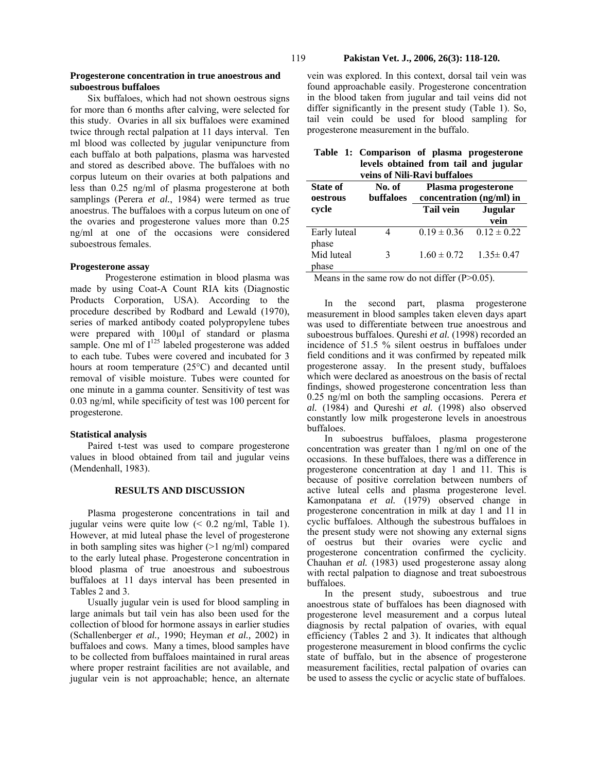## 119 **Pakistan Vet. J., 2006, 26(3): 118-120.**

## **Progesterone concentration in true anoestrous and suboestrous buffaloes**

Six buffaloes, which had not shown oestrous signs for more than 6 months after calving, were selected for this study. Ovaries in all six buffaloes were examined twice through rectal palpation at 11 days interval. Ten ml blood was collected by jugular venipuncture from each buffalo at both palpations, plasma was harvested and stored as described above. The buffaloes with no corpus luteum on their ovaries at both palpations and less than 0.25 ng/ml of plasma progesterone at both samplings (Perera *et al.*, 1984) were termed as true anoestrus. The buffaloes with a corpus luteum on one of the ovaries and progesterone values more than 0.25 ng/ml at one of the occasions were considered suboestrous females.

### **Progesterone assay**

Progesterone estimation in blood plasma was made by using Coat-A Count RIA kits (Diagnostic Products Corporation, USA). According to the procedure described by Rodbard and Lewald (1970), series of marked antibody coated polypropylene tubes were prepared with 100µl of standard or plasma sample. One ml of  $I^{125}$  labeled progesterone was added to each tube. Tubes were covered and incubated for 3 hours at room temperature (25°C) and decanted until removal of visible moisture. Tubes were counted for one minute in a gamma counter. Sensitivity of test was 0.03 ng/ml, while specificity of test was 100 percent for progesterone.

### **Statistical analysis**

Paired t-test was used to compare progesterone values in blood obtained from tail and jugular veins (Mendenhall, 1983).

#### **RESULTS AND DISCUSSION**

Plasma progesterone concentrations in tail and jugular veins were quite low (< 0.2 ng/ml, Table 1). However, at mid luteal phase the level of progesterone in both sampling sites was higher (>1 ng/ml) compared to the early luteal phase. Progesterone concentration in blood plasma of true anoestrous and suboestrous buffaloes at 11 days interval has been presented in Tables 2 and 3.

Usually jugular vein is used for blood sampling in large animals but tail vein has also been used for the collection of blood for hormone assays in earlier studies (Schallenberger *et al.,* 1990; Heyman *et al.,* 2002) in buffaloes and cows. Many a times, blood samples have to be collected from buffaloes maintained in rural areas where proper restraint facilities are not available, and jugular vein is not approachable; hence, an alternate

vein was explored. In this context, dorsal tail vein was found approachable easily. Progesterone concentration in the blood taken from jugular and tail veins did not differ significantly in the present study (Table 1). So, tail vein could be used for blood sampling for progesterone measurement in the buffalo.

|  | Table 1: Comparison of plasma progesterone |
|--|--------------------------------------------|
|  | levels obtained from tail and jugular      |
|  | veins of Nili-Ravi buffaloes               |

| veins of tym-Kavi duhalues  |                            |                                                 |                 |  |  |  |  |
|-----------------------------|----------------------------|-------------------------------------------------|-----------------|--|--|--|--|
| <b>State of</b><br>oestrous | No. of<br><b>buffaloes</b> | Plasma progesterone<br>concentration (ng/ml) in |                 |  |  |  |  |
| cycle                       |                            | <b>Tail vein</b>                                | <b>Jugular</b>  |  |  |  |  |
|                             |                            |                                                 | vein            |  |  |  |  |
| Early luteal                |                            | $0.19 \pm 0.36$                                 | $0.12 \pm 0.22$ |  |  |  |  |
| phase                       |                            |                                                 |                 |  |  |  |  |
| Mid luteal                  | 3                          | $1.60 \pm 0.72$                                 | $1.35 \pm 0.47$ |  |  |  |  |
| phase                       |                            |                                                 |                 |  |  |  |  |

Means in the same row do not differ (P>0.05).

In the second part, plasma progesterone measurement in blood samples taken eleven days apart was used to differentiate between true anoestrous and suboestrous buffaloes. Qureshi *et al.* (1998) recorded an incidence of 51.5 % silent oestrus in buffaloes under field conditions and it was confirmed by repeated milk progesterone assay. In the present study, buffaloes which were declared as anoestrous on the basis of rectal findings, showed progesterone concentration less than 0.25 ng/ml on both the sampling occasions. Perera *et al.* (1984) and Qureshi *et al.* (1998) also observed constantly low milk progesterone levels in anoestrous buffaloes.

In suboestrus buffaloes, plasma progesterone concentration was greater than 1 ng/ml on one of the occasions. In these buffaloes, there was a difference in progesterone concentration at day 1 and 11. This is because of positive correlation between numbers of active luteal cells and plasma progesterone level. Kamonpatana *et al.* (1979) observed change in progesterone concentration in milk at day 1 and 11 in cyclic buffaloes. Although the subestrous buffaloes in the present study were not showing any external signs of oestrus but their ovaries were cyclic and progesterone concentration confirmed the cyclicity. Chauhan *et al.* (1983) used progesterone assay along with rectal palpation to diagnose and treat suboestrous buffaloes.

In the present study, suboestrous and true anoestrous state of buffaloes has been diagnosed with progesterone level measurement and a corpus luteal diagnosis by rectal palpation of ovaries, with equal efficiency (Tables 2 and 3). It indicates that although progesterone measurement in blood confirms the cyclic state of buffalo, but in the absence of progesterone measurement facilities, rectal palpation of ovaries can be used to assess the cyclic or acyclic state of buffaloes.